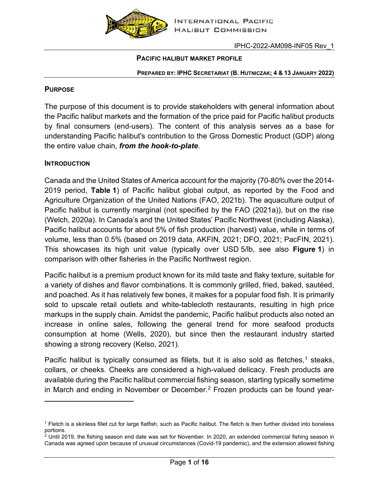

#### **PACIFIC HALIBUT MARKET PROFILE**

#### **PREPARED BY: IPHC SECRETARIAT (B. HUTNICZAK; 4 & 13 JANUARY 2022)**

#### **PURPOSE**

The purpose of this document is to provide stakeholders with general information about the Pacific halibut markets and the formation of the price paid for Pacific halibut products by final consumers (end-users). The content of this analysis serves as a base for understanding Pacific halibut's contribution to the Gross Domestic Product (GDP) along the entire value chain, *from the hook-to-plate*.

#### **INTRODUCTION**

Canada and the United States of America account for the majority (70-80% over the 2014- 2019 period, **[Table](#page-1-0) 1**) of Pacific halibut global output, as reported by the Food and Agriculture Organization of the United Nations (FAO, 2021b). The aquaculture output of Pacific halibut is currently marginal (not specified by the FAO (2021a)), but on the rise (Welch, 2020a). In Canada's and the United States' Pacific Northwest (including Alaska), Pacific halibut accounts for about 5% of fish production (harvest) value, while in terms of volume, less than 0.5% (based on 2019 data, AKFIN, 2021; DFO, 2021; PacFIN, 2021). This showcases its high unit value (typically over USD 5/lb, see also **[Figure](#page-1-1) 1**) in comparison with other fisheries in the Pacific Northwest region.

Pacific halibut is a premium product known for its mild taste and flaky texture, suitable for a variety of dishes and flavor combinations. It is commonly grilled, fried, baked, sautéed, and poached. As it has relatively few bones, it makes for a popular food fish. It is primarily sold to upscale retail outlets and white-tablecloth restaurants, resulting in high price markups in the supply chain. Amidst the pandemic, Pacific halibut products also noted an increase in online sales, following the general trend for more seafood products consumption at home (Wells, 2020), but since then the restaurant industry started showing a strong recovery (Kelso, 2021).

Pacific halibut is typically consumed as fillets, but it is also sold as fletches,<sup>1</sup> steaks, collars, or cheeks. Cheeks are considered a high-valued delicacy. Fresh products are available during the Pacific halibut commercial fishing season, starting typically sometime in March and ending in November or December.<sup>[2](#page-0-1)</sup> Frozen products can be found year-

<span id="page-0-0"></span><sup>1</sup> Fletch is a skinless fillet cut for large flatfish, such as Pacific halibut. The fletch is then further divided into boneless portions.

<span id="page-0-1"></span> $2$  Until 2019, the fishing season end date was set for November. In 2020, an extended commercial fishing season in Canada was agreed upon because of unusual circumstances (Covid-19 pandemic), and the extension allowed fishing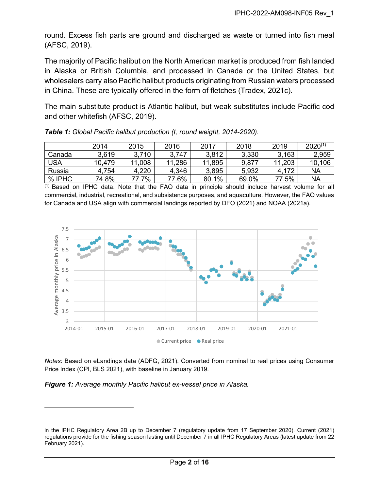round. Excess fish parts are ground and discharged as waste or turned into fish meal (AFSC, 2019).

The majority of Pacific halibut on the North American market is produced from fish landed in Alaska or British Columbia, and processed in Canada or the United States, but wholesalers carry also Pacific halibut products originating from Russian waters processed in China. These are typically offered in the form of fletches (Tradex, 2021c).

The main substitute product is Atlantic halibut, but weak substitutes include Pacific cod and other whitefish (AFSC, 2019).

|            | 2014   | 2015   | 2016   | 2017   | 2018  | 2019   | $2020^{(1)}$ |
|------------|--------|--------|--------|--------|-------|--------|--------------|
| Canada     | 3,619  | 3,710  | 3.747  | 3,812  | 3,330 | 3.163  | 2,959        |
| <b>USA</b> | 10,479 | 11,008 | 11,286 | 11,895 | 9,877 | 11,203 | 10,106       |
| Russia     | 4,754  | 4.220  | 4,346  | 3,895  | 5,932 | 4,172  | NA           |
| % IPHC     | 74.8%  | 77.7%  | 77.6%  | 80.1%  | 69.0% | 77.5%  | NA           |

<span id="page-1-0"></span>*Table 1: Global Pacific halibut production (t, round weight, 2014-2020).*

(1) Based on IPHC data. Note that the FAO data in principle should include harvest volume for all commercial, industrial, recreational, and subsistence purposes, and aquaculture. However, the FAO values for Canada and USA align with commercial landings reported by DFO (2021) and NOAA (2021a).



*Notes*: Based on eLandings data (ADFG, 2021). Converted from nominal to real prices using Consumer Price Index (CPI, BLS 2021), with baseline in January 2019.

<span id="page-1-1"></span>*Figure 1: Average monthly Pacific halibut ex-vessel price in Alaska.*

in the IPHC Regulatory Area 2B up to December 7 (regulatory update from 17 September 2020). Current (2021) regulations provide for the fishing season lasting until December 7 in all IPHC Regulatory Areas (latest update from 22 February 2021).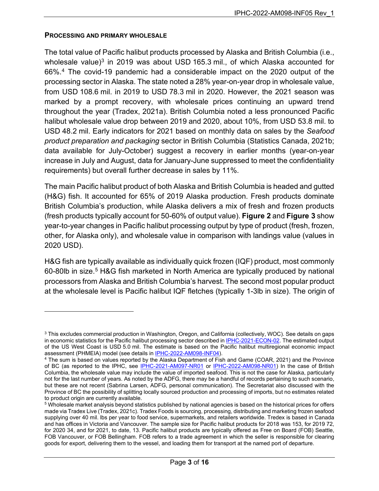### **PROCESSING AND PRIMARY WHOLESALE**

The total value of Pacific halibut products processed by Alaska and British Columbia (i.e., wholesale value) $3$  in 2019 was about USD 165.3 mil., of which Alaska accounted for 66%.[4](#page-2-1) The covid-19 pandemic had a considerable impact on the 2020 output of the processing sector in Alaska. The state noted a 28% year-on-year drop in wholesale value, from USD 108.6 mil. in 2019 to USD 78.3 mil in 2020. However, the 2021 season was marked by a prompt recovery, with wholesale prices continuing an upward trend throughout the year (Tradex, 2021a). British Columbia noted a less pronounced Pacific halibut wholesale value drop between 2019 and 2020, about 10%, from USD 53.8 mil. to USD 48.2 mil. Early indicators for 2021 based on monthly data on sales by the *Seafood product preparation and packaging* sector in British Columbia (Statistics Canada, 2021b; data available for July-October) suggest a recovery in earlier months (year-on-year increase in July and August, data for January-June suppressed to meet the confidentiality requirements) but overall further decrease in sales by 11%.

The main Pacific halibut product of both Alaska and British Columbia is headed and gutted (H&G) fish. It accounted for 65% of 2019 Alaska production. Fresh products dominate British Columbia's production, while Alaska delivers a mix of fresh and frozen products (fresh products typically account for 50-60% of output value). **[Figure](#page-3-0) 2** and **[Figure](#page-3-1) 3** show year-to-year changes in Pacific halibut processing output by type of product (fresh, frozen, other, for Alaska only), and wholesale value in comparison with landings value (values in 2020 USD).

H&G fish are typically available as individually quick frozen (IQF) product, most commonly 60-80lb in size. [5](#page-2-2) H&G fish marketed in North America are typically produced by national processors from Alaska and British Columbia's harvest. The second most popular product at the wholesale level is Pacific halibut IQF fletches (typically 1-3lb in size). The origin of

<span id="page-2-0"></span><sup>3</sup> This excludes commercial production in Washington, Oregon, and California (collectively, WOC). See details on gaps in economic statistics for the Pacific halibut processing sector described in [IPHC-2021-ECON-02.](https://www.iphc.int/uploads/pdf/economics/2021/iphc-2021-econ-02.pdf) The estimated output of the US West Coast is USD 5.0 mil. The estimate is based on the Pacific halibut multiregional economic impact assessment (PHMEIA) model (see details i[n IPHC-2022-AM098-INF04\)](https://www.iphc.int/uploads/pdf/am/am098/iphc-2022-am098-inf04.pdf).

<span id="page-2-1"></span><sup>4</sup> The sum is based on values reported by the Alaska Department of Fish and Game (COAR, 2021) and the Province of BC (as reported to the IPHC, see [IPHC-2021-AM097-NR01](https://www.iphc.int/uploads/pdf/am/am097/iphc-2021-am097-nr01.pdf) or [IPHC-2022-AM098-NR01\)](https://www.iphc.int/uploads/pdf/am/am098/iphc-2022-am098-nr01.pdf) In the case of British Columbia, the wholesale value may include the value of imported seafood. This is not the case for Alaska, particularly not for the last number of years. As noted by the ADFG, there may be a handful of records pertaining to such scenario, but these are not recent (Sabrina Larsen, ADFG, personal communication). The Secretariat also discussed with the Province of BC the possibility of splitting locally sourced production and processing of imports, but no estimates related to product origin are currently available.

<span id="page-2-2"></span><sup>5</sup> Wholesale market analysis beyond statistics published by national agencies is based on the historical prices for offers made via Tradex Live (Tradex, 2021c). Tradex Foods is sourcing, processing, distributing and marketing frozen seafood supplying over 40 mil. lbs per year to food service, supermarkets, and retailers worldwide. Tredex is based in Canada and has offices in Victoria and Vancouver. The sample size for Pacific halibut products for 2018 was 153, for 2019 72, for 2020 34, and for 2021, to date, 13. Pacific halibut products are typically offered as Free on Board (FOB) Seattle, FOB Vancouver, or FOB Bellingham. FOB refers to a trade agreement in which the seller is responsible for clearing goods for export, delivering them to the vessel, and loading them for transport at the named port of departure.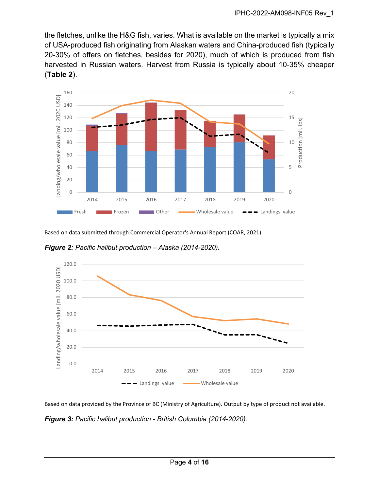the fletches, unlike the H&G fish, varies. What is available on the market is typically a mix of USA-produced fish originating from Alaskan waters and China-produced fish (typically 20-30% of offers on fletches, besides for 2020), much of which is produced from fish harvested in Russian waters. Harvest from Russia is typically about 10-35% cheaper (**[Table](#page-4-0) 2**).



Based on data submitted through Commercial Operator's Annual Report (COAR, 2021).

<span id="page-3-0"></span>*Figure 2: Pacific halibut production – Alaska (2014-2020).*



Based on data provided by the Province of BC (Ministry of Agriculture). Output by type of product not available.

<span id="page-3-1"></span>*Figure 3: Pacific halibut production - British Columbia (2014-2020).*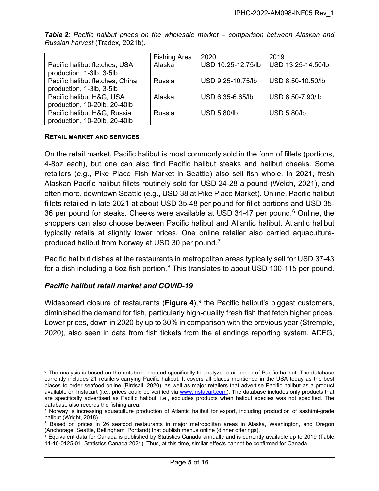|                                 | <b>Fishing Area</b> | 2020               | 2019               |
|---------------------------------|---------------------|--------------------|--------------------|
| Pacific halibut fletches, USA   | Alaska              | USD 10.25-12.75/lb | USD 13.25-14.50/lb |
| production, 1-3lb, 3-5lb        |                     |                    |                    |
| Pacific halibut fletches, China | Russia              | USD 9.25-10.75/lb  | USD 8.50-10.50/lb  |
| production, 1-3lb, 3-5lb        |                     |                    |                    |
| Pacific halibut H&G, USA        | Alaska              | USD 6.35-6.65/lb   | USD 6.50-7.90/lb   |
| production, 10-20lb, 20-40lb    |                     |                    |                    |
| Pacific halibut H&G, Russia     | Russia              | <b>USD 5.80/lb</b> | <b>USD 5.80/lb</b> |
| production, 10-20lb, 20-40lb    |                     |                    |                    |

<span id="page-4-0"></span>*Table 2: Pacific halibut prices on the wholesale market – comparison between Alaskan and Russian harvest* (Tradex, 2021b)*.*

### **RETAIL MARKET AND SERVICES**

On the retail market, Pacific halibut is most commonly sold in the form of fillets (portions, 4-8oz each), but one can also find Pacific halibut steaks and halibut cheeks. Some retailers (e.g., Pike Place Fish Market in Seattle) also sell fish whole. In 2021, fresh Alaskan Pacific halibut fillets routinely sold for USD 24-28 a pound (Welch, 2021), and often more, downtown Seattle (e.g., USD 38 at Pike Place Market). Online, Pacific halibut fillets retailed in late 2021 at about USD 35-48 per pound for fillet portions and USD 35- 36 per pound for steaks. Cheeks were available at USD 34-47 per pound.<sup>6</sup> Online, the shoppers can also choose between Pacific halibut and Atlantic halibut. Atlantic halibut typically retails at slightly lower prices. One online retailer also carried aquacultureproduced halibut from Norway at USD 30 per pound.[7](#page-4-2)

Pacific halibut dishes at the restaurants in metropolitan areas typically sell for USD 37-43 for a dish including a 6oz fish portion. $8$  This translates to about USD 100-115 per pound.

### *Pacific halibut retail market and COVID-19*

Widespread closure of restaurants (**[Figure](#page-5-0) 4**),<sup>[9](#page-4-4)</sup> the Pacific halibut's biggest customers, diminished the demand for fish, particularly high-quality fresh fish that fetch higher prices. Lower prices, down in 2020 by up to 30% in comparison with the previous year (Stremple, 2020), also seen in data from fish tickets from the eLandings reporting system, ADFG,

<span id="page-4-1"></span> $6$  The analysis is based on the database created specifically to analyze retail prices of Pacific halibut. The database currently includes 21 retailers carrying Pacific halibut. It covers all places mentioned in the USA today as the best places to order seafood online (Birdsall, 2020), as well as major retailers that advertise Pacific halibut as a product available on Instacart (i.e., prices could be verified vi[a www.instacart.com\)](http://www.instacart.com/). The database includes only products that are specifically advertised as Pacific halibut, i.e., excludes products when halibut species was not specified. The database also records the fishing area.

<span id="page-4-2"></span> $7$  Norway is increasing aquaculture production of Atlantic halibut for export, including production of sashimi-grade halibut (Wright, 2018).

<span id="page-4-3"></span><sup>&</sup>lt;sup>8</sup> Based on prices in 26 seafood restaurants in major metropolitan areas in Alaska, Washington, and Oregon (Anchorage, Seattle, Bellingham, Portland) that publish menus online (dinner offerings).

<span id="page-4-4"></span><sup>&</sup>lt;sup>9</sup> Equivalent data for Canada is published by Statistics Canada annually and is currently available up to 2019 (Table 11-10-0125-01, Statistics Canada 2021). Thus, at this time, similar effects cannot be confirmed for Canada.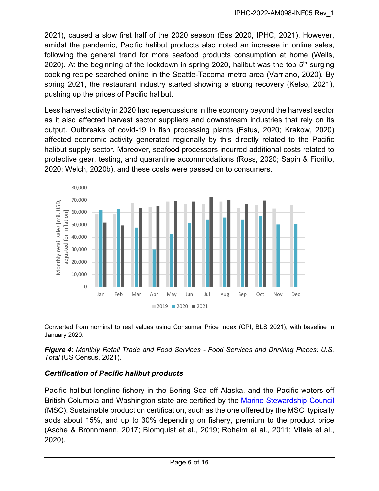2021), caused a slow first half of the 2020 season (Ess 2020, IPHC, 2021). However, amidst the pandemic, Pacific halibut products also noted an increase in online sales, following the general trend for more seafood products consumption at home (Wells, 2020). At the beginning of the lockdown in spring 2020, halibut was the top  $5<sup>th</sup>$  surging cooking recipe searched online in the Seattle-Tacoma metro area (Varriano, 2020). By spring 2021, the restaurant industry started showing a strong recovery (Kelso, 2021), pushing up the prices of Pacific halibut.

Less harvest activity in 2020 had repercussions in the economy beyond the harvest sector as it also affected harvest sector suppliers and downstream industries that rely on its output. Outbreaks of covid-19 in fish processing plants (Estus, 2020; Krakow, 2020) affected economic activity generated regionally by this directly related to the Pacific halibut supply sector. Moreover, seafood processors incurred additional costs related to protective gear, testing, and quarantine accommodations (Ross, 2020; Sapin & Fiorillo, 2020; Welch, 2020b), and these costs were passed on to consumers.



Converted from nominal to real values using Consumer Price Index (CPI, BLS 2021), with baseline in January 2020.

<span id="page-5-0"></span>*Figure 4: Monthly Retail Trade and Food Services - Food Services and Drinking Places: U.S. Total* (US Census, 2021)*.*

# *Certification of Pacific halibut products*

Pacific halibut longline fishery in the Bering Sea off Alaska, and the Pacific waters off British Columbia and Washington state are certified by the [Marine Stewardship Council](https://fisheries.msc.org/en/fisheries/) (MSC). Sustainable production certification, such as the one offered by the MSC, typically adds about 15%, and up to 30% depending on fishery, premium to the product price (Asche & Bronnmann, 2017; Blomquist et al., 2019; Roheim et al., 2011; Vitale et al., 2020).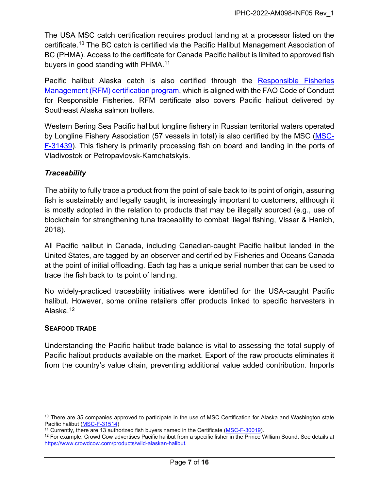The USA MSC catch certification requires product landing at a processor listed on the certificate.[10](#page-6-0) The BC catch is certified via the Pacific Halibut Management Association of BC (PHMA). Access to the certificate for Canada Pacific halibut is limited to approved fish buyers in good standing with PHMA.<sup>[11](#page-6-1)</sup>

Pacific halibut Alaska catch is also certified through the [Responsible Fisheries](https://rfmcertification.org/certified-fishery-species/alaska-halibut/)  [Management \(RFM\) certification program,](https://rfmcertification.org/certified-fishery-species/alaska-halibut/) which is aligned with the FAO Code of Conduct for Responsible Fisheries. RFM certificate also covers Pacific halibut delivered by Southeast Alaska salmon trollers.

Western Bering Sea Pacific halibut longline fishery in Russian territorial waters operated by Longline Fishery Association (57 vessels in total) is also certified by the MSC [\(MSC-](https://cert.msc.org/FileLoader/FileLinkDownload.asmx/GetFile?encryptedKey=uNJKSz0qCIW3NPY98bLG8hPjx3PctibV4l1bsKOomJFptlHJcLo5lWf/h0R9laZa)[F-31439\)](https://cert.msc.org/FileLoader/FileLinkDownload.asmx/GetFile?encryptedKey=uNJKSz0qCIW3NPY98bLG8hPjx3PctibV4l1bsKOomJFptlHJcLo5lWf/h0R9laZa). This fishery is primarily processing fish on board and landing in the ports of Vladivostok or Petropavlovsk-Kamchatskyis.

# *Traceability*

The ability to fully trace a product from the point of sale back to its point of origin, assuring fish is sustainably and legally caught, is increasingly important to customers, although it is mostly adopted in the relation to products that may be illegally sourced (e.g., use of blockchain for strengthening tuna traceability to combat illegal fishing, Visser & Hanich, 2018).

All Pacific halibut in Canada, including Canadian-caught Pacific halibut landed in the United States, are tagged by an observer and certified by Fisheries and Oceans Canada at the point of initial offloading. Each tag has a unique serial number that can be used to trace the fish back to its point of landing.

No widely-practiced traceability initiatives were identified for the USA-caught Pacific halibut. However, some online retailers offer products linked to specific harvesters in Alaska. [12](#page-6-2)

# <span id="page-6-3"></span>**SEAFOOD TRADE**

Understanding the Pacific halibut trade balance is vital to assessing the total supply of Pacific halibut products available on the market. Export of the raw products eliminates it from the country's value chain, preventing additional value added contribution. Imports

<span id="page-6-0"></span> $10$  There are 35 companies approved to participate in the use of MSC Certification for Alaska and Washington state Pacific halibut [\(MSC-F-31514\)](https://cert.msc.org/FileLoader/FileLinkDownload.asmx/GetFile?encryptedKey=mkpu56G1wO6dsgVnG0/cIpwcFsqc9v0PzvigYVLN/DramP/teUEEAbyzfdxUdCn3)

<span id="page-6-1"></span><sup>&</sup>lt;sup>11</sup> Currently, there are 13 authorized fish buyers named in the Certificate [\(MSC-F-30019\)](https://cert.msc.org/FileLoader/FileLinkDownload.asmx/GetFile?encryptedKey=YRHtly40mG3xvPoA8pAGH6G1PFiKxW/V+trVngVGXBTbq8eoMaS9ZkzL5326MFDm).

<span id="page-6-2"></span> $12$  For example, Crowd Cow advertises Pacific halibut from a specific fisher in the Prince William Sound. See details at [https://www.crowdcow.com/products/wild-alaskan-halibut.](https://www.crowdcow.com/products/wild-alaskan-halibut)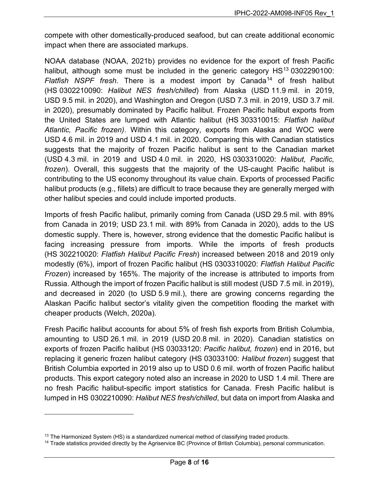compete with other domestically-produced seafood, but can create additional economic impact when there are associated markups.

NOAA database (NOAA, 2021b) provides no evidence for the export of fresh Pacific halibut, although some must be included in the generic category  $HS<sup>13</sup>$  $HS<sup>13</sup>$  $HS<sup>13</sup>$  0302290100: *Flatfish NSPF fresh*. There is a modest import by Canada[14](#page-7-1) of fresh halibut (HS 0302210090: *Halibut NES fresh/chilled*) from Alaska (USD 11.9 mil. in 2019, USD 9.5 mil. in 2020), and Washington and Oregon (USD 7.3 mil. in 2019, USD 3.7 mil. in 2020), presumably dominated by Pacific halibut. Frozen Pacific halibut exports from the United States are lumped with Atlantic halibut (HS 303310015: *Flatfish halibut Atlantic, Pacific frozen)*. Within this category, exports from Alaska and WOC were USD 4.6 mil. in 2019 and USD 4.1 mil. in 2020. Comparing this with Canadian statistics suggests that the majority of frozen Pacific halibut is sent to the Canadian market (USD 4.3 mil. in 2019 and USD 4.0 mil. in 2020, HS 0303310020: *Halibut, Pacific, frozen*). Overall, this suggests that the majority of the US-caught Pacific halibut is contributing to the US economy throughout its value chain. Exports of processed Pacific halibut products (e.g., fillets) are difficult to trace because they are generally merged with other halibut species and could include imported products.

Imports of fresh Pacific halibut, primarily coming from Canada (USD 29.5 mil. with 89% from Canada in 2019; USD 23.1 mil. with 89% from Canada in 2020), adds to the US domestic supply. There is, however, strong evidence that the domestic Pacific halibut is facing increasing pressure from imports. While the imports of fresh products (HS 302210020: *Flatfish Halibut Pacific Fresh*) increased between 2018 and 2019 only modestly (6%), import of frozen Pacific halibut (HS 0303310020: *Flatfish Halibut Pacific Frozen*) increased by 165%. The majority of the increase is attributed to imports from Russia. Although the import of frozen Pacific halibut is still modest (USD 7.5 mil. in 2019), and decreased in 2020 (to USD 5.9 mil.), there are growing concerns regarding the Alaskan Pacific halibut sector's vitality given the competition flooding the market with cheaper products (Welch, 2020a).

Fresh Pacific halibut accounts for about 5% of fresh fish exports from British Columbia, amounting to USD 26.1 mil. in 2019 (USD 20.8 mil. in 2020). Canadian statistics on exports of frozen Pacific halibut (HS 03033120: *Pacific halibut, frozen*) end in 2016, but replacing it generic frozen halibut category (HS 03033100: *Halibut frozen*) suggest that British Columbia exported in 2019 also up to USD 0.6 mil. worth of frozen Pacific halibut products. This export category noted also an increase in 2020 to USD 1.4 mil. There are no fresh Pacific halibut-specific import statistics for Canada. Fresh Pacific halibut is lumped in HS 0302210090: *Halibut NES fresh/chilled*, but data on import from Alaska and

<span id="page-7-0"></span> $13$  The Harmonized System (HS) is a standardized numerical method of classifying traded products.

<span id="page-7-1"></span><sup>&</sup>lt;sup>14</sup> Trade statistics provided directly by the Agriservice BC (Province of British Columbia), personal communication.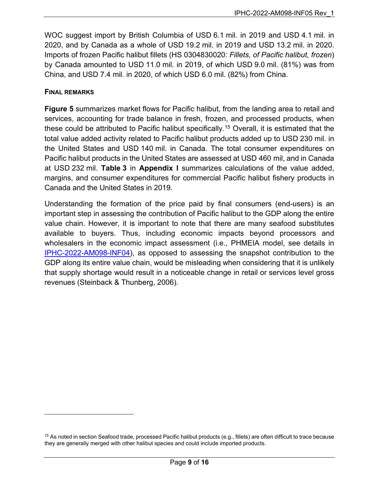WOC suggest import by British Columbia of USD 6.1 mil. in 2019 and USD 4.1 mil. in 2020, and by Canada as a whole of USD 19.2 mil. in 2019 and USD 13.2 mil. in 2020. Imports of frozen Pacific halibut fillets (HS 0304830020: *Fillets, of Pacific halibut, frozen*) by Canada amounted to USD 11.0 mil. in 2019, of which USD 9.0 mil. (81%) was from China, and USD 7.4 mil. in 2020, of which USD 6.0 mil. (82%) from China.

### **FINAL REMARKS**

**[Figure](#page-9-0) 5** summarizes market flows for Pacific halibut, from the landing area to retail and services, accounting for trade balance in fresh, frozen, and processed products, when these could be attributed to Pacific halibut specifically. [15](#page-8-0) Overall, it is estimated that the total value added activity related to Pacific halibut products added up to USD 230 mil. in the United States and USD 140 mil. in Canada. The total consumer expenditures on Pacific halibut products in the United States are assessed at USD 460 mil, and in Canada at USD 232 mil. **[Table](#page-12-0) 3** in **[Appendix I](#page-13-0)** summarizes calculations of the value added, margins, and consumer expenditures for commercial Pacific halibut fishery products in Canada and the United States in 2019.

Understanding the formation of the price paid by final consumers (end-users) is an important step in assessing the contribution of Pacific halibut to the GDP along the entire value chain. However, it is important to note that there are many seafood substitutes available to buyers. Thus, including economic impacts beyond processors and wholesalers in the economic impact assessment (i.e., PHMEIA model, see details in [IPHC-2022-AM098-INF04\)](https://www.iphc.int/uploads/pdf/am/am098/iphc-2022-am098-inf04.pdf), as opposed to assessing the snapshot contribution to the GDP along its entire value chain, would be misleading when considering that it is unlikely that supply shortage would result in a noticeable change in retail or services level gross revenues (Steinback & Thunberg, 2006).

<span id="page-8-0"></span><sup>&</sup>lt;sup>15</sup> As noted in sectio[n Seafood trade,](#page-6-3) processed Pacific halibut products (e.g., fillets) are often difficult to trace because they are generally merged with other halibut species and could include imported products.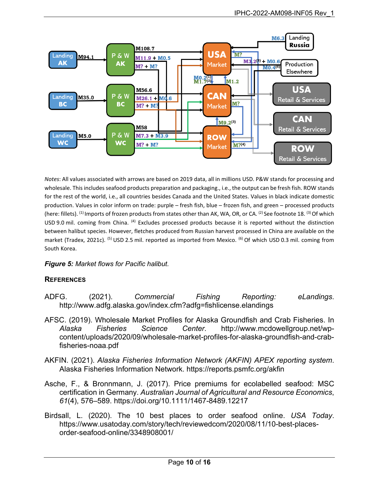

*Notes*: All values associated with arrows are based on 2019 data, all in millions USD. P&W stands for processing and wholesale. This includes seafood products preparation and packaging., i.e., the output can be fresh fish. ROW stands for the rest of the world, i.e., all countries besides Canada and the United States. Values in black indicate domestic production. Values in color inform on trade: purple – fresh fish, blue – frozen fish, and green – processed products (here: fillets). (1) Imports of frozen products from states other than AK, WA, OR, or CA. (2) See footnote [18.](#page-13-1) (3) Of which USD 9.0 mil. coming from China. (4) Excludes processed products because it is reported without the distinction between halibut species. However, fletches produced from Russian harvest processed in China are available on the market (Tradex, 2021c). <sup>(5)</sup> USD 2.5 mil. reported as imported from Mexico. <sup>(6)</sup> Of which USD 0.3 mil. coming from South Korea.

### <span id="page-9-0"></span>*Figure 5: Market flows for Pacific halibut.*

### **REFERENCES**

- ADFG. (2021). *Commercial Fishing Reporting: eLandings*. http://www.adfg.alaska.gov/index.cfm?adfg=fishlicense.elandings
- AFSC. (2019). Wholesale Market Profiles for Alaska Groundfish and Crab Fisheries. In *Alaska Fisheries Science Center*. http://www.mcdowellgroup.net/wpcontent/uploads/2020/09/wholesale-market-profiles-for-alaska-groundfish-and-crabfisheries-noaa.pdf
- AKFIN. (2021). *Alaska Fisheries Information Network (AKFIN) APEX reporting system*. Alaska Fisheries Information Network. https://reports.psmfc.org/akfin
- Asche, F., & Bronnmann, J. (2017). Price premiums for ecolabelled seafood: MSC certification in Germany. *Australian Journal of Agricultural and Resource Economics*, *61*(4), 576–589. https://doi.org/10.1111/1467-8489.12217
- Birdsall, L. (2020). The 10 best places to order seafood online. *USA Today*. https://www.usatoday.com/story/tech/reviewedcom/2020/08/11/10-best-placesorder-seafood-online/3348908001/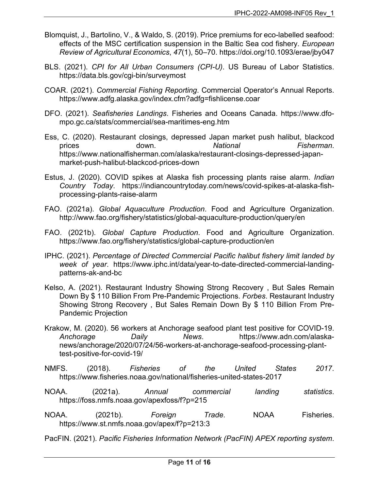- Blomquist, J., Bartolino, V., & Waldo, S. (2019). Price premiums for eco-labelled seafood: effects of the MSC certification suspension in the Baltic Sea cod fishery. *European Review of Agricultural Economics*, *47*(1), 50–70. https://doi.org/10.1093/erae/jby047
- BLS. (2021). *CPI for All Urban Consumers (CPI-U)*. US Bureau of Labor Statistics. https://data.bls.gov/cgi-bin/surveymost
- COAR. (2021). *Commercial Fishing Reporting*. Commercial Operator's Annual Reports. https://www.adfg.alaska.gov/index.cfm?adfg=fishlicense.coar
- DFO. (2021). *Seafisheries Landings*. Fisheries and Oceans Canada. https://www.dfompo.gc.ca/stats/commercial/sea-maritimes-eng.htm
- Ess, C. (2020). Restaurant closings, depressed Japan market push halibut, blackcod prices down. *National Fisherman*. https://www.nationalfisherman.com/alaska/restaurant-closings-depressed-japanmarket-push-halibut-blackcod-prices-down
- Estus, J. (2020). COVID spikes at Alaska fish processing plants raise alarm. *Indian Country Today*. https://indiancountrytoday.com/news/covid-spikes-at-alaska-fishprocessing-plants-raise-alarm
- FAO. (2021a). *Global Aquaculture Production*. Food and Agriculture Organization. http://www.fao.org/fishery/statistics/global-aquaculture-production/query/en
- FAO. (2021b). *Global Capture Production*. Food and Agriculture Organization. https://www.fao.org/fishery/statistics/global-capture-production/en
- IPHC. (2021). *Percentage of Directed Commercial Pacific halibut fishery limit landed by week of year*. https://www.iphc.int/data/year-to-date-directed-commercial-landingpatterns-ak-and-bc
- Kelso, A. (2021). Restaurant Industry Showing Strong Recovery , But Sales Remain Down By \$ 110 Billion From Pre-Pandemic Projections. *Forbes*. Restaurant Industry Showing Strong Recovery , But Sales Remain Down By \$ 110 Billion From Pre-Pandemic Projection
- Krakow, M. (2020). 56 workers at Anchorage seafood plant test positive for COVID-19. *Anchorage Daily News*. https://www.adn.com/alaskanews/anchorage/2020/07/24/56-workers-at-anchorage-seafood-processing-planttest-positive-for-covid-19/
- NMFS. (2018). *Fisheries of the United States 2017*. https://www.fisheries.noaa.gov/national/fisheries-united-states-2017
- NOAA. (2021a). *Annual commercial landing statistics*. https://foss.nmfs.noaa.gov/apexfoss/f?p=215
- NOAA. (2021b). *Foreign Trade*. NOAA Fisheries. https://www.st.nmfs.noaa.gov/apex/f?p=213:3
- PacFIN. (2021). *Pacific Fisheries Information Network (PacFIN) APEX reporting system*.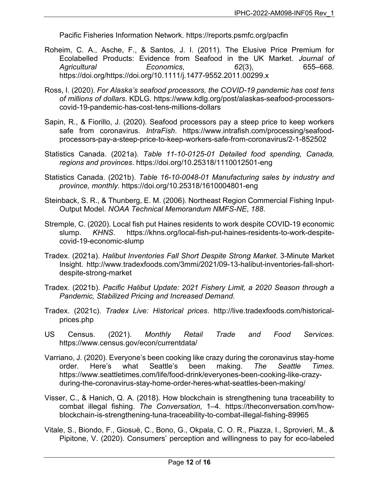Pacific Fisheries Information Network. https://reports.psmfc.org/pacfin

- Roheim, C. A., Asche, F., & Santos, J. I. (2011). The Elusive Price Premium for Ecolabelled Products: Evidence from Seafood in the UK Market. *Journal of Agricultural Economics*, *62*(3), 655–668. https://doi.org/https://doi.org/10.1111/j.1477-9552.2011.00299.x
- Ross, I. (2020). *For Alaska's seafood processors, the COVID-19 pandemic has cost tens of millions of dollars*. KDLG. https://www.kdlg.org/post/alaskas-seafood-processorscovid-19-pandemic-has-cost-tens-millions-dollars
- Sapin, R., & Fiorillo, J. (2020). Seafood processors pay a steep price to keep workers safe from coronavirus. *IntraFish*. https://www.intrafish.com/processing/seafoodprocessors-pay-a-steep-price-to-keep-workers-safe-from-coronavirus/2-1-852502
- Statistics Canada. (2021a). *Table 11-10-0125-01 Detailed food spending, Canada, regions and provinces*. https://doi.org/10.25318/1110012501-eng
- Statistics Canada. (2021b). *Table 16-10-0048-01 Manufacturing sales by industry and province, monthly*. https://doi.org/10.25318/1610004801-eng
- Steinback, S. R., & Thunberg, E. M. (2006). Northeast Region Commercial Fishing Input-Output Model. *NOAA Technical Memorandum NMFS-NE*, *188*.
- Stremple, C. (2020). Local fish put Haines residents to work despite COVID-19 economic slump. *KHNS*. https://khns.org/local-fish-put-haines-residents-to-work-despitecovid-19-economic-slump
- Tradex. (2021a). *Halibut Inventories Fall Short Despite Strong Market*. 3-Minute Market Insight. http://www.tradexfoods.com/3mmi/2021/09-13-halibut-inventories-fall-shortdespite-strong-market
- Tradex. (2021b). *Pacific Halibut Update: 2021 Fishery Limit, a 2020 Season through a Pandemic, Stabilized Pricing and Increased Demand*.
- Tradex. (2021c). *Tradex Live: Historical prices*. http://live.tradexfoods.com/historicalprices.php
- US Census. (2021). *Monthly Retail Trade and Food Services*. https://www.census.gov/econ/currentdata/
- Varriano, J. (2020). Everyone's been cooking like crazy during the coronavirus stay-home order. Here's what Seattle's been making. *The Seattle Times*. https://www.seattletimes.com/life/food-drink/everyones-been-cooking-like-crazyduring-the-coronavirus-stay-home-order-heres-what-seattles-been-making/
- Visser, C., & Hanich, Q. A. (2018). How blockchain is strengthening tuna traceability to combat illegal fishing. *The Conversation*, 1–4. https://theconversation.com/howblockchain-is-strengthening-tuna-traceability-to-combat-illegal-fishing-89965
- Vitale, S., Biondo, F., Giosuè, C., Bono, G., Okpala, C. O. R., Piazza, I., Sprovieri, M., & Pipitone, V. (2020). Consumers' perception and willingness to pay for eco-labeled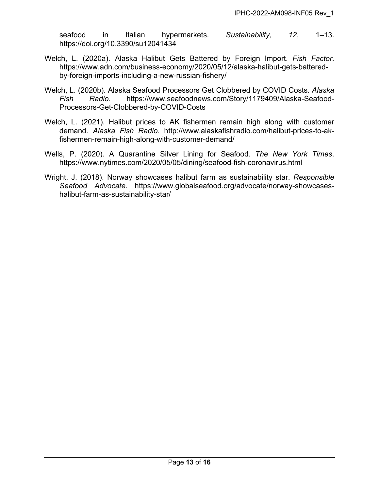seafood in Italian hypermarkets. *Sustainability*, *12*, 1–13. https://doi.org/10.3390/su12041434

- Welch, L. (2020a). Alaska Halibut Gets Battered by Foreign Import. *Fish Factor*. https://www.adn.com/business-economy/2020/05/12/alaska-halibut-gets-batteredby-foreign-imports-including-a-new-russian-fishery/
- Welch, L. (2020b). Alaska Seafood Processors Get Clobbered by COVID Costs. *Alaska Fish Radio*. https://www.seafoodnews.com/Story/1179409/Alaska-Seafood-Processors-Get-Clobbered-by-COVID-Costs
- Welch, L. (2021). Halibut prices to AK fishermen remain high along with customer demand. *Alaska Fish Radio*. http://www.alaskafishradio.com/halibut-prices-to-akfishermen-remain-high-along-with-customer-demand/
- Wells, P. (2020). A Quarantine Silver Lining for Seafood. *The New York Times*. https://www.nytimes.com/2020/05/05/dining/seafood-fish-coronavirus.html
- <span id="page-12-0"></span>Wright, J. (2018). Norway showcases halibut farm as sustainability star. *Responsible Seafood Advocate*. https://www.globalseafood.org/advocate/norway-showcaseshalibut-farm-as-sustainability-star/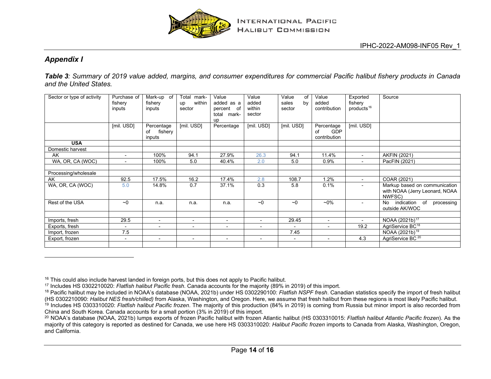<span id="page-13-6"></span><span id="page-13-5"></span><span id="page-13-4"></span><span id="page-13-3"></span><span id="page-13-2"></span>

# *Appendix I*

*Table 3: Summary of 2019 value added, margins, and consumer expenditures for commercial Pacific halibut fishery products in Canada and the United States.*

<span id="page-13-0"></span>

| Sector or type of activity | Purchase of<br>fishery<br>inputs | Mark-up of<br>fishery<br>inputs       | mark-<br>Total<br>within<br>up<br>sector | Value<br>added as a<br>percent of<br>total mark-<br>up | Value<br>added<br>within<br>sector | Value<br>of<br>sales<br>by<br>sector | Value<br>added<br>contribution                 | Exported<br>fishery<br>products <sup>16</sup> | Source                                                                    |
|----------------------------|----------------------------------|---------------------------------------|------------------------------------------|--------------------------------------------------------|------------------------------------|--------------------------------------|------------------------------------------------|-----------------------------------------------|---------------------------------------------------------------------------|
|                            | [mil. USD]                       | Percentage<br>fishery<br>of<br>inputs | [mil. USD]                               | Percentage                                             | [mil. USD]                         | [mil. USD]                           | Percentage<br><b>GDP</b><br>of<br>contribution | [mil. USD]                                    |                                                                           |
| <b>USA</b>                 |                                  |                                       |                                          |                                                        |                                    |                                      |                                                |                                               |                                                                           |
| Domestic harvest           |                                  |                                       |                                          |                                                        |                                    |                                      |                                                |                                               |                                                                           |
| AK                         | $\overline{\phantom{a}}$         | 100%                                  | 94.1                                     | 27.9%                                                  | 26.3                               | 94.1                                 | 11.4%                                          | $\sim$                                        | <b>AKFIN (2021)</b>                                                       |
| WA, OR, CA (WOC)           | $\blacksquare$                   | 100%                                  | 5.0                                      | 40.4%                                                  | 2.0                                | 5.0                                  | 0.9%                                           | $\sim$                                        | PacFIN (2021)                                                             |
|                            |                                  |                                       |                                          |                                                        |                                    |                                      |                                                |                                               |                                                                           |
| Processing/wholesale       |                                  |                                       |                                          |                                                        |                                    |                                      |                                                |                                               |                                                                           |
| AK                         | 92.5                             | 17.5%                                 | 16.2                                     | 17.4%                                                  | 2.8                                | 108.7                                | 1.2%                                           | $\sim$                                        | COAR (2021)                                                               |
| WA, OR, CA (WOC)           | 5.0                              | 14.8%                                 | 0.7                                      | 37.1%                                                  | 0.3                                | 5.8                                  | 0.1%                                           |                                               | Markup based on communication<br>with NOAA (Jerry Leonard, NOAA<br>NWFSC) |
| Rest of the USA            | ~1                               | n.a.                                  | n.a.                                     | n.a.                                                   | ~1                                 | $\sim$ 0                             | $-0\%$                                         | $\sim$                                        | indication of<br>processing<br>No.<br>outside AK/WOC                      |
|                            |                                  |                                       |                                          |                                                        |                                    |                                      |                                                |                                               |                                                                           |
| Imports, fresh             | 29.5                             | $\overline{\phantom{a}}$              | $\overline{\phantom{a}}$                 | $\sim$                                                 | $\overline{\phantom{0}}$           | 29.45                                | $\overline{\phantom{a}}$                       | $\sim$                                        | NOAA (2021b) <sup>17</sup>                                                |
| Exports, fresh             | $\overline{\phantom{a}}$         | $\overline{\phantom{a}}$              | $\overline{\phantom{0}}$                 | $\overline{\phantom{0}}$                               | $\blacksquare$                     |                                      | $\overline{\phantom{0}}$                       | 19.2                                          | AgriService BC <sup>18</sup>                                              |
| Import, frozen             | 7.5                              |                                       |                                          |                                                        |                                    | 7.45                                 |                                                |                                               | NOAA (2021b) <sup>19</sup>                                                |
| Export, frozen             | $\overline{\phantom{a}}$         | $\blacksquare$                        | $\blacksquare$                           | $\overline{\phantom{0}}$                               | $\overline{\phantom{0}}$           | $\overline{\phantom{a}}$             | $\overline{\phantom{a}}$                       | 4.3                                           | AgriService BC <sup>20</sup>                                              |
|                            |                                  |                                       |                                          |                                                        |                                    |                                      |                                                |                                               |                                                                           |

 $16$  This could also include harvest landed in foreign ports, but this does not apply to Pacific halibut.

<sup>17</sup> Includes HS 0302210020: *Flatfish halibut Pacific fresh*. Canada accounts for the majority (89% in 2019) of this import.

<sup>18</sup> Pacific halibut may be included in NOAA's database (NOAA, 2021b) under HS 0302290100: *Flatfish NSPF fresh*. Canadian statistics specify the import of fresh halibut (HS 0302210090: *Halibut NES fresh/chilled)* from Alaska, Washington, and Oregon. Here, we assume that fresh halibut from these regions is most likely Pacific halibut. <sup>19</sup> Includes HS 0303310020: *Flatfish halibut Pacific frozen*. The majority of this production (84% in 2019) is coming from Russia but minor import is also recorded from China and South Korea. Canada accounts for a small portion (3% in 2019) of this import.

<span id="page-13-1"></span><sup>20</sup> NOAA's database (NOAA, 2021b) lumps exports of frozen Pacific halibut with frozen Atlantic halibut (HS 0303310015: *Flatfish halibut Atlantic Pacific frozen*). As the majority of this category is reported as destined for Canada, we use here HS 0303310020: *Halibut Pacific frozen* imports to Canada from Alaska, Washington, Oregon, and California.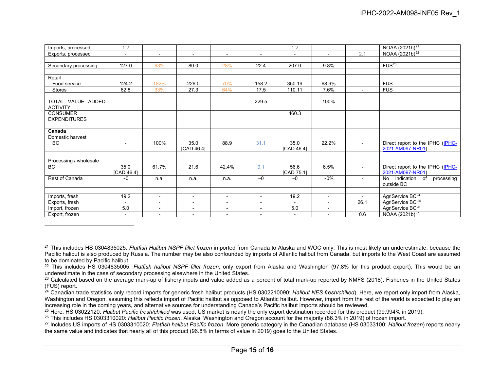<span id="page-14-6"></span><span id="page-14-5"></span><span id="page-14-4"></span><span id="page-14-3"></span><span id="page-14-2"></span><span id="page-14-1"></span><span id="page-14-0"></span>

| Imports, processed                     | 1.2                      | $\overline{a}$           | $\overline{\phantom{a}}$ | $\overline{\phantom{0}}$ | $\overline{a}$           | 1.2                      | $\overline{a}$           | $\sim$                   | NOAA (2021b) <sup>21</sup>                           |
|----------------------------------------|--------------------------|--------------------------|--------------------------|--------------------------|--------------------------|--------------------------|--------------------------|--------------------------|------------------------------------------------------|
| Exports, processed                     | $\overline{\phantom{a}}$ | $\overline{\phantom{a}}$ | $\blacksquare$           | $\sim$                   | $\blacksquare$           | $\sim$                   | $\blacksquare$           | 2.1                      | NOAA (2021b) <sup>22</sup>                           |
|                                        |                          |                          |                          |                          |                          |                          |                          |                          |                                                      |
| Secondary processing                   | 127.0                    | 63%                      | 80.0                     | 28%                      | 22.4                     | 207.0                    | 9.8%                     |                          | FUS <sup>23</sup>                                    |
|                                        |                          |                          |                          |                          |                          |                          |                          |                          |                                                      |
| Retail                                 |                          |                          |                          |                          |                          |                          |                          |                          |                                                      |
| Food service                           | 124.2                    | 182%                     | 226.0                    | 70%                      | 158.2                    | 350.19                   | 68.9%                    | $\sim$                   | <b>FUS</b>                                           |
| Stores                                 | 82.8                     | 33%                      | 27.3                     | 64%                      | 17.5                     | 110.11                   | 7.6%                     |                          | <b>FUS</b>                                           |
|                                        |                          |                          |                          |                          |                          |                          |                          |                          |                                                      |
| TOTAL VALUE ADDED<br><b>ACTIVITY</b>   |                          |                          |                          |                          | 229.5                    |                          | 100%                     |                          |                                                      |
| <b>CONSUMER</b><br><b>EXPENDITURES</b> |                          |                          |                          |                          |                          | 460.3                    |                          |                          |                                                      |
|                                        |                          |                          |                          |                          |                          |                          |                          |                          |                                                      |
| Canada                                 |                          |                          |                          |                          |                          |                          |                          |                          |                                                      |
| Domestic harvest                       |                          |                          |                          |                          |                          |                          |                          |                          |                                                      |
| <b>BC</b>                              | $\overline{\phantom{a}}$ | 100%                     | 35.0<br>[CAD 46.4]       | 88.9                     | 31.1                     | 35.0<br>[CAD 46.4]       | 22.2%                    |                          | Direct report to the IPHC (IPHC-<br>2021-AM097-NR01) |
|                                        |                          |                          |                          |                          |                          |                          |                          |                          |                                                      |
| Processing / wholesale                 |                          |                          |                          |                          |                          |                          |                          |                          |                                                      |
| <b>BC</b>                              | 35.0<br>[CAD 46.4]       | 61.7%                    | 21.6                     | 42.4%                    | 9.1                      | 56.6<br>[CAD 75.1]       | 6.5%                     | $\blacksquare$           | Direct report to the IPHC (IPHC-<br>2021-AM097-NR01) |
| Rest of Canada                         | ~1                       | n.a.                     | n.a.                     | n.a.                     | ~1                       | $\sim$ 0                 | $-0\%$                   | $\overline{\phantom{0}}$ | No<br>indication<br>of<br>processing<br>outside BC   |
|                                        |                          |                          |                          |                          |                          |                          |                          |                          |                                                      |
| Imports, fresh                         | 19.2                     | $\overline{a}$           | $\blacksquare$           | $\overline{a}$           | $\overline{\phantom{a}}$ | 19.2                     | $\blacksquare$           | $\sim$                   | AgriService BC <sup>24</sup>                         |
| Exports, fresh                         | $\blacksquare$           | $\overline{\phantom{a}}$ | $\overline{\phantom{a}}$ | $\sim$                   | $\overline{\phantom{a}}$ | $\overline{\phantom{0}}$ | $\blacksquare$           | 26.1                     | AgriService BC <sup>25</sup>                         |
| Import, frozen                         | 5.0                      | $\overline{\phantom{a}}$ | $\overline{\phantom{a}}$ | $\overline{\phantom{a}}$ | $\overline{\phantom{a}}$ | 5.0                      | $\overline{\phantom{a}}$ |                          | AgriService BC <sup>26</sup>                         |
| Export, frozen                         | $\blacksquare$           | $\overline{\phantom{a}}$ | $\blacksquare$           | $\sim$                   | $\overline{\phantom{a}}$ | $\blacksquare$           | $\overline{\phantom{0}}$ | 0.6                      | NOAA (2021b) <sup>27</sup>                           |

<sup>22</sup> This includes HS 0304835005: *Flatfish halibut NSPF fillet frozen*, only export from Alaska and Washington (97.8% for this product export). This would be an underestimate in the case of secondary processing elsewhere in the United States.

<sup>21</sup> This includes HS 0304835025: *Flatfish Halibut NSPF fillet frozen* imported from Canada to Alaska and WOC only. This is most likely an underestimate, because the Pacific halibut is also produced by Russia. The number may be also confounded by imports of Atlantic halibut from Canada, but imports to the West Coast are assumed to be dominated by Pacific halibut.

<sup>&</sup>lt;sup>23</sup> Calculated based on the average mark-up of fishery inputs and value added as a percent of total mark-up reported by NMFS (2018), Fisheries in the United States (FUS) report.

<sup>24</sup> Canadian trade statistics only record imports for generic fresh halibut products (HS 0302210090: *Halibut NES fresh/chilled*). Here, we report only import from Alaska, Washington and Oregon, assuming this reflects import of Pacific halibut as opposed to Atlantic halibut. However, import from the rest of the world is expected to play an increasing role in the coming years, and alternative sources for understanding Canada's Pacific halibut imports should be reviewed.

<sup>25</sup> Here, HS 03022120: *Halibut Pacific fresh/chilled* was used. US market is nearly the only export destination recorded for this product (99.994% in 2019).

<sup>26</sup> This includes HS 0303310020: *Halibut Pacific frozen*. Alaska, Washington and Oregon account for the majority (86.3% in 2019) of frozen import.

<sup>27</sup> Includes US imports of HS 0303310020: *Flatfish halibut Pacific frozen*. More generic category in the Canadian database (HS 03033100: *Halibut frozen*) reports nearly the same value and indicates that nearly all of this product (96.8% in terms of value in 2019) goes to the United States.